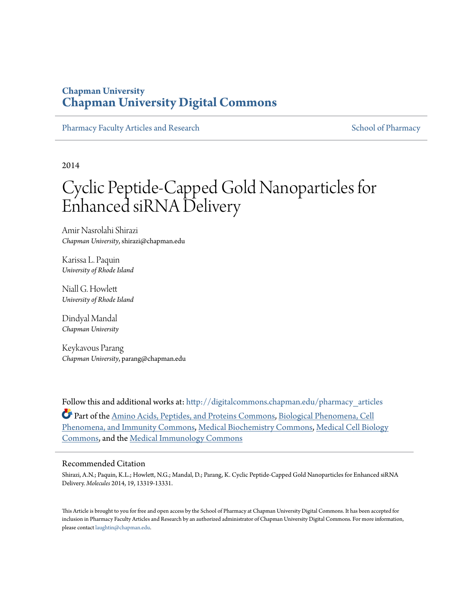# **Chapman University [Chapman University Digital Commons](http://digitalcommons.chapman.edu?utm_source=digitalcommons.chapman.edu%2Fpharmacy_articles%2F68&utm_medium=PDF&utm_campaign=PDFCoverPages)**

[Pharmacy Faculty Articles and Research](http://digitalcommons.chapman.edu/pharmacy_articles?utm_source=digitalcommons.chapman.edu%2Fpharmacy_articles%2F68&utm_medium=PDF&utm_campaign=PDFCoverPages) [School of Pharmacy](http://digitalcommons.chapman.edu/cusp?utm_source=digitalcommons.chapman.edu%2Fpharmacy_articles%2F68&utm_medium=PDF&utm_campaign=PDFCoverPages) Faculty Articles and Research School of Pharmacy

2014

# Cyclic Peptide-Capped Gold Nanoparticles for Enhanced siRNA Delivery

Amir Nasrolahi Shirazi *Chapman University*, shirazi@chapman.edu

Karissa L. Paquin *University of Rhode Island*

Niall G. Howlett *University of Rhode Island*

Dindyal Mandal *Chapman University*

Keykavous Parang *Chapman University*, parang@chapman.edu

Follow this and additional works at: [http://digitalcommons.chapman.edu/pharmacy\\_articles](http://digitalcommons.chapman.edu/pharmacy_articles?utm_source=digitalcommons.chapman.edu%2Fpharmacy_articles%2F68&utm_medium=PDF&utm_campaign=PDFCoverPages) Part of the [Amino Acids, Peptides, and Proteins Commons](http://network.bepress.com/hgg/discipline/954?utm_source=digitalcommons.chapman.edu%2Fpharmacy_articles%2F68&utm_medium=PDF&utm_campaign=PDFCoverPages), [Biological Phenomena, Cell](http://network.bepress.com/hgg/discipline/958?utm_source=digitalcommons.chapman.edu%2Fpharmacy_articles%2F68&utm_medium=PDF&utm_campaign=PDFCoverPages) [Phenomena, and Immunity Commons](http://network.bepress.com/hgg/discipline/958?utm_source=digitalcommons.chapman.edu%2Fpharmacy_articles%2F68&utm_medium=PDF&utm_campaign=PDFCoverPages), [Medical Biochemistry Commons](http://network.bepress.com/hgg/discipline/666?utm_source=digitalcommons.chapman.edu%2Fpharmacy_articles%2F68&utm_medium=PDF&utm_campaign=PDFCoverPages), [Medical Cell Biology](http://network.bepress.com/hgg/discipline/669?utm_source=digitalcommons.chapman.edu%2Fpharmacy_articles%2F68&utm_medium=PDF&utm_campaign=PDFCoverPages) [Commons,](http://network.bepress.com/hgg/discipline/669?utm_source=digitalcommons.chapman.edu%2Fpharmacy_articles%2F68&utm_medium=PDF&utm_campaign=PDFCoverPages) and the [Medical Immunology Commons](http://network.bepress.com/hgg/discipline/671?utm_source=digitalcommons.chapman.edu%2Fpharmacy_articles%2F68&utm_medium=PDF&utm_campaign=PDFCoverPages)

#### Recommended Citation

Shirazi, A.N.; Paquin, K.L.; Howlett, N.G.; Mandal, D.; Parang, K. Cyclic Peptide-Capped Gold Nanoparticles for Enhanced siRNA Delivery. *Molecules* 2014, 19, 13319-13331.

This Article is brought to you for free and open access by the School of Pharmacy at Chapman University Digital Commons. It has been accepted for inclusion in Pharmacy Faculty Articles and Research by an authorized administrator of Chapman University Digital Commons. For more information, please contact [laughtin@chapman.edu.](mailto:laughtin@chapman.edu)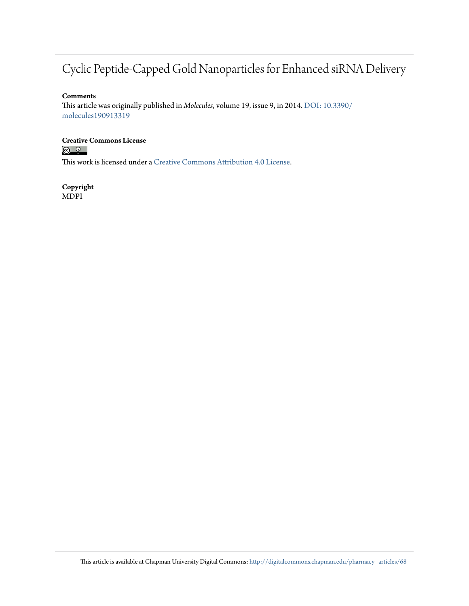# Cyclic Peptide-Capped Gold Nanoparticles for Enhanced siRNA Delivery

#### **Comments**

This article was originally published in *Molecules*, volume 19, issue 9, in 2014. [DOI: 10.3390/](http://dx.doi.org/10.3390/molecules190913319) [molecules190913319](http://dx.doi.org/10.3390/molecules190913319)

# **Creative Commons License**<br> **<b>C** <u>**Q Q**</u>

This work is licensed under a [Creative Commons Attribution 4.0 License.](http://creativecommons.org/licenses/by/4.0/)

**Copyright** MDPI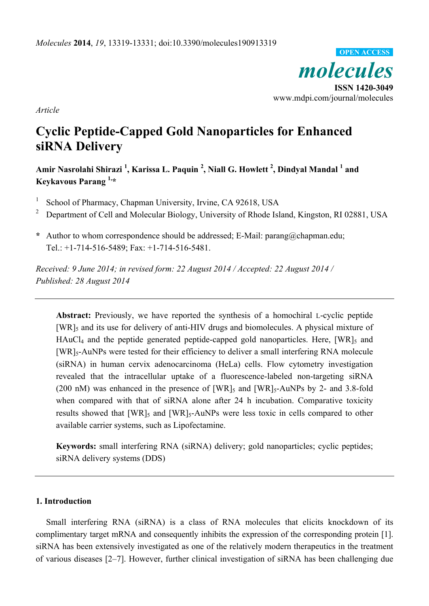

*Article* 

# **Cyclic Peptide-Capped Gold Nanoparticles for Enhanced siRNA Delivery**

Amir Nasrolahi Shirazi <sup>1</sup>, Karissa L. Paquin <sup>2</sup>, Niall G. Howlett <sup>2</sup>, Dindyal Mandal <sup>1</sup> and **Keykavous Parang 1,\*** 

- 1 School of Pharmacy, Chapman University, Irvine, CA 92618, USA
- 2 Department of Cell and Molecular Biology, University of Rhode Island, Kingston, RI 02881, USA
- **\*** Author to whom correspondence should be addressed; E-Mail: parang@chapman.edu; Tel.: +1-714-516-5489; Fax: +1-714-516-5481.

*Received: 9 June 2014; in revised form: 22 August 2014 / Accepted: 22 August 2014 / Published: 28 August 2014* 

**Abstract:** Previously, we have reported the synthesis of a homochiral L-cyclic peptide [WR]<sub>5</sub> and its use for delivery of anti-HIV drugs and biomolecules. A physical mixture of  $HAuCl<sub>4</sub>$  and the peptide generated peptide-capped gold nanoparticles. Here,  $[WR]<sub>5</sub>$  and [WR]5-AuNPs were tested for their efficiency to deliver a small interfering RNA molecule (siRNA) in human cervix adenocarcinoma (HeLa) cells. Flow cytometry investigation revealed that the intracellular uptake of a fluorescence-labeled non-targeting siRNA (200 nM) was enhanced in the presence of  $[WR]_5$  and  $[WR]_5$ -AuNPs by 2- and 3.8-fold when compared with that of siRNA alone after 24 h incubation. Comparative toxicity results showed that  $[WR]_5$  and  $[WR]_5$ -AuNPs were less toxic in cells compared to other available carrier systems, such as Lipofectamine.

**Keywords:** small interfering RNA (siRNA) delivery; gold nanoparticles; cyclic peptides; siRNA delivery systems (DDS)

## **1. Introduction**

Small interfering RNA (siRNA) is a class of RNA molecules that elicits knockdown of its complimentary target mRNA and consequently inhibits the expression of the corresponding protein [1]. siRNA has been extensively investigated as one of the relatively modern therapeutics in the treatment of various diseases [2–7]. However, further clinical investigation of siRNA has been challenging due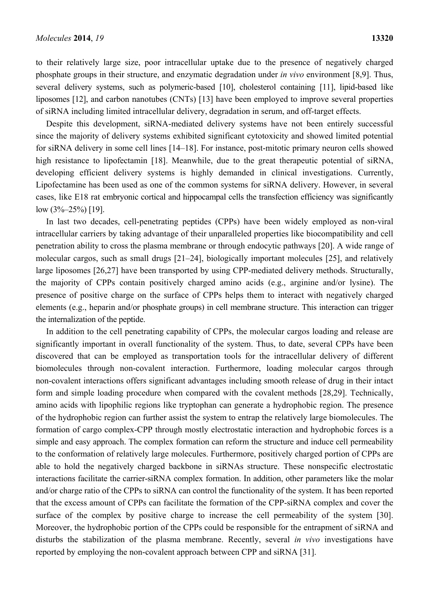to their relatively large size, poor intracellular uptake due to the presence of negatively charged phosphate groups in their structure, and enzymatic degradation under *in vivo* environment [8,9]. Thus, several delivery systems, such as polymeric-based [10], cholesterol containing [11], lipid-based like liposomes [12], and carbon nanotubes (CNTs) [13] have been employed to improve several properties of siRNA including limited intracellular delivery, degradation in serum, and off-target effects.

Despite this development, siRNA-mediated delivery systems have not been entirely successful since the majority of delivery systems exhibited significant cytotoxicity and showed limited potential for siRNA delivery in some cell lines [14–18]. For instance, post-mitotic primary neuron cells showed high resistance to lipofectamin [18]. Meanwhile, due to the great therapeutic potential of siRNA, developing efficient delivery systems is highly demanded in clinical investigations. Currently, Lipofectamine has been used as one of the common systems for siRNA delivery. However, in several cases, like E18 rat embryonic cortical and hippocampal cells the transfection efficiency was significantly low (3%–25%) [19].

In last two decades, cell-penetrating peptides (CPPs) have been widely employed as non-viral intracellular carriers by taking advantage of their unparalleled properties like biocompatibility and cell penetration ability to cross the plasma membrane or through endocytic pathways [20]. A wide range of molecular cargos, such as small drugs [21–24], biologically important molecules [25], and relatively large liposomes [26,27] have been transported by using CPP-mediated delivery methods. Structurally, the majority of CPPs contain positively charged amino acids (e.g., arginine and/or lysine). The presence of positive charge on the surface of CPPs helps them to interact with negatively charged elements (e.g., heparin and/or phosphate groups) in cell membrane structure. This interaction can trigger the internalization of the peptide.

In addition to the cell penetrating capability of CPPs, the molecular cargos loading and release are significantly important in overall functionality of the system. Thus, to date, several CPPs have been discovered that can be employed as transportation tools for the intracellular delivery of different biomolecules through non-covalent interaction. Furthermore, loading molecular cargos through non-covalent interactions offers significant advantages including smooth release of drug in their intact form and simple loading procedure when compared with the covalent methods [28,29]. Technically, amino acids with lipophilic regions like tryptophan can generate a hydrophobic region. The presence of the hydrophobic region can further assist the system to entrap the relatively large biomolecules. The formation of cargo complex-CPP through mostly electrostatic interaction and hydrophobic forces is a simple and easy approach. The complex formation can reform the structure and induce cell permeability to the conformation of relatively large molecules. Furthermore, positively charged portion of CPPs are able to hold the negatively charged backbone in siRNAs structure. These nonspecific electrostatic interactions facilitate the carrier-siRNA complex formation. In addition, other parameters like the molar and/or charge ratio of the CPPs to siRNA can control the functionality of the system. It has been reported that the excess amount of CPPs can facilitate the formation of the CPP-siRNA complex and cover the surface of the complex by positive charge to increase the cell permeability of the system [30]. Moreover, the hydrophobic portion of the CPPs could be responsible for the entrapment of siRNA and disturbs the stabilization of the plasma membrane. Recently, several *in vivo* investigations have reported by employing the non-covalent approach between CPP and siRNA [31].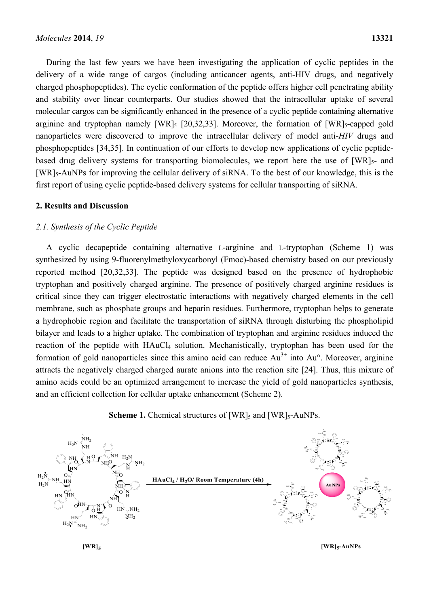During the last few years we have been investigating the application of cyclic peptides in the delivery of a wide range of cargos (including anticancer agents, anti-HIV drugs, and negatively charged phosphopeptides). The cyclic conformation of the peptide offers higher cell penetrating ability and stability over linear counterparts. Our studies showed that the intracellular uptake of several molecular cargos can be significantly enhanced in the presence of a cyclic peptide containing alternative arginine and tryptophan namely  $[WR]_5$   $[20,32,33]$ . Moreover, the formation of  $[WR]_5$ -capped gold nanoparticles were discovered to improve the intracellular delivery of model anti-*HIV* drugs and phosphopeptides [34,35]. In continuation of our efforts to develop new applications of cyclic peptidebased drug delivery systems for transporting biomolecules, we report here the use of  $[WR]_{5}$ - and [WR]<sub>5</sub>-AuNPs for improving the cellular delivery of siRNA. To the best of our knowledge, this is the first report of using cyclic peptide-based delivery systems for cellular transporting of siRNA.

## **2. Results and Discussion**

## *2.1. Synthesis of the Cyclic Peptide*

A cyclic decapeptide containing alternative L-arginine and L-tryptophan (Scheme 1) was synthesized by using 9-fluorenylmethyloxycarbonyl (Fmoc)-based chemistry based on our previously reported method [20,32,33]. The peptide was designed based on the presence of hydrophobic tryptophan and positively charged arginine. The presence of positively charged arginine residues is critical since they can trigger electrostatic interactions with negatively charged elements in the cell membrane, such as phosphate groups and heparin residues. Furthermore, tryptophan helps to generate a hydrophobic region and facilitate the transportation of siRNA through disturbing the phospholipid bilayer and leads to a higher uptake. The combination of tryptophan and arginine residues induced the reaction of the peptide with HAuCl<sub>4</sub> solution. Mechanistically, tryptophan has been used for the formation of gold nanoparticles since this amino acid can reduce  $Au^{3+}$  into  $Au^{\circ}$ . Moreover, arginine attracts the negatively charged charged aurate anions into the reaction site [24]. Thus, this mixure of amino acids could be an optimized arrangement to increase the yield of gold nanoparticles synthesis, and an efficient collection for cellular uptake enhancement (Scheme 2).





**[WR]5 [WR]5-AuNPs**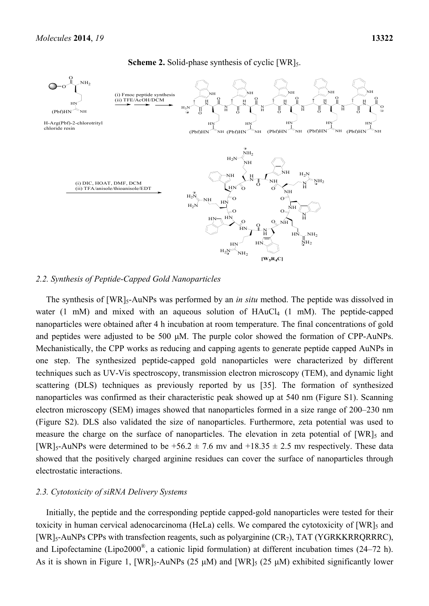

**Scheme 2.** Solid-phase synthesis of cyclic [WR]<sub>5</sub>.

#### *2.2. Synthesis of Peptide-Capped Gold Nanoparticles*

The synthesis of [WR]<sub>5</sub>-AuNPs was performed by an *in situ* method. The peptide was dissolved in water  $(1 \text{ mM})$  and mixed with an aqueous solution of  $HAuCl_4$   $(1 \text{ mM})$ . The peptide-capped nanoparticles were obtained after 4 h incubation at room temperature. The final concentrations of gold and peptides were adjusted to be 500 μM. The purple color showed the formation of CPP-AuNPs. Mechanistically, the CPP works as reducing and capping agents to generate peptide capped AuNPs in one step. The synthesized peptide-capped gold nanoparticles were characterized by different techniques such as UV-Vis spectroscopy, transmission electron microscopy (TEM), and dynamic light scattering (DLS) techniques as previously reported by us [35]. The formation of synthesized nanoparticles was confirmed as their characteristic peak showed up at 540 nm (Figure S1). Scanning electron microscopy (SEM) images showed that nanoparticles formed in a size range of 200–230 nm (Figure S2). DLS also validated the size of nanoparticles. Furthermore, zeta potential was used to measure the charge on the surface of nanoparticles. The elevation in zeta potential of  $[WR]_5$  and [WR]<sub>5</sub>-AuNPs were determined to be  $+56.2 \pm 7.6$  mv and  $+18.35 \pm 2.5$  mv respectively. These data showed that the positively charged arginine residues can cover the surface of nanoparticles through electrostatic interactions.

### *2.3. Cytotoxicity of siRNA Delivery Systems*

Initially, the peptide and the corresponding peptide capped-gold nanoparticles were tested for their toxicity in human cervical adenocarcinoma (HeLa) cells. We compared the cytotoxicity of [WR]<sub>5</sub> and [WR]<sub>5</sub>-AuNPs CPPs with transfection reagents, such as polyarginine  $(CR_7)$ , TAT (YGRKKRRQRRRC), and Lipofectamine (Lipo2000®, a cationic lipid formulation) at different incubation times (24–72 h). As it is shown in Figure 1,  $[WR]_5$ -AuNPs (25  $\mu$ M) and  $[WR]_5$  (25  $\mu$ M) exhibited significantly lower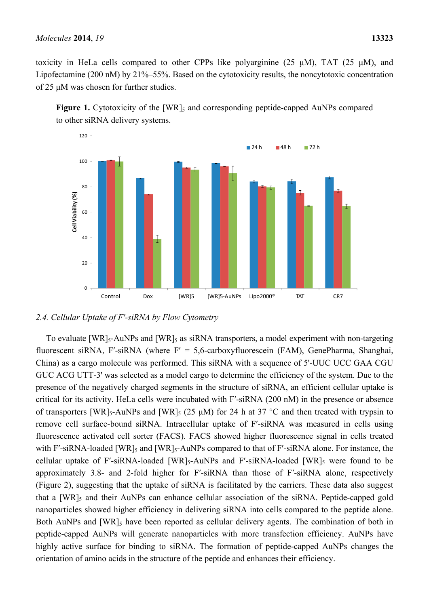toxicity in HeLa cells compared to other CPPs like polyarginine (25  $\mu$ M), TAT (25  $\mu$ M), and Lipofectamine (200 nM) by 21%–55%. Based on the cytotoxicity results, the noncytotoxic concentration of 25 μM was chosen for further studies.





*2.4. Cellular Uptake of F′-siRNA by Flow Cytometry* 

To evaluate [WR]<sub>5</sub>-AuNPs and [WR]<sub>5</sub> as siRNA transporters, a model experiment with non-targeting fluorescent siRNA, F'-siRNA (where  $F' = 5.6$ -carboxyfluorescein (FAM), GenePharma, Shanghai, China) as a cargo molecule was performed. This siRNA with a sequence of 5'-UUC UCC GAA CGU GUC ACG UTT-3' was selected as a model cargo to determine the efficiency of the system. Due to the presence of the negatively charged segments in the structure of siRNA, an efficient cellular uptake is critical for its activity. HeLa cells were incubated with F′-siRNA (200 nM) in the presence or absence of transporters [WR]<sub>5</sub>-AuNPs and [WR]<sub>5</sub> (25  $\mu$ M) for 24 h at 37 °C and then treated with trypsin to remove cell surface-bound siRNA. Intracellular uptake of F′-siRNA was measured in cells using fluorescence activated cell sorter (FACS). FACS showed higher fluorescence signal in cells treated with F'-siRNA-loaded  $[WR]_5$  and  $[WR]_5$ -AuNPs compared to that of F'-siRNA alone. For instance, the cellular uptake of F'-siRNA-loaded  $[WR]_5$ -AuNPs and F'-siRNA-loaded  $[WR]_5$  were found to be approximately 3.8- and 2-fold higher for F′-siRNA than those of F′-siRNA alone, respectively (Figure 2), suggesting that the uptake of siRNA is facilitated by the carriers. These data also suggest that a  $[WR]_5$  and their AuNPs can enhance cellular association of the siRNA. Peptide-capped gold nanoparticles showed higher efficiency in delivering siRNA into cells compared to the peptide alone. Both AuNPs and [WR]<sub>5</sub> have been reported as cellular delivery agents. The combination of both in peptide-capped AuNPs will generate nanoparticles with more transfection efficiency. AuNPs have highly active surface for binding to siRNA. The formation of peptide-capped AuNPs changes the orientation of amino acids in the structure of the peptide and enhances their efficiency.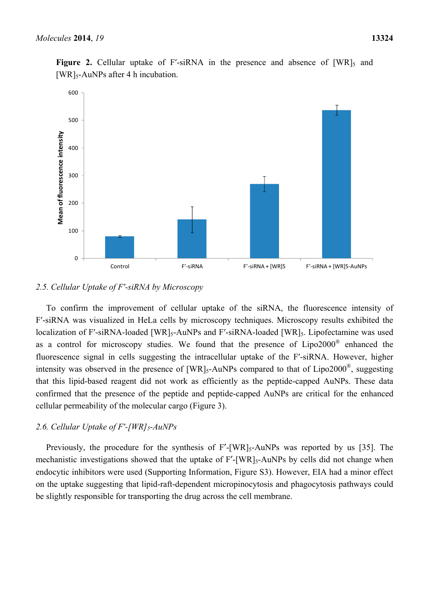

**Figure 2.** Cellular uptake of F'-siRNA in the presence and absence of  $[WR]_5$  and  $[WR]_5$ -AuNPs after 4 h incubation.

## *2.5. Cellular Uptake of F′-siRNA by Microscopy*

To confirm the improvement of cellular uptake of the siRNA, the fluorescence intensity of F′-siRNA was visualized in HeLa cells by microscopy techniques. Microscopy results exhibited the localization of F'-siRNA-loaded [WR]<sub>5</sub>-AuNPs and F'-siRNA-loaded [WR]<sub>5</sub>. Lipofectamine was used as a control for microscopy studies. We found that the presence of Lipo2000® enhanced the fluorescence signal in cells suggesting the intracellular uptake of the F′-siRNA. However, higher intensity was observed in the presence of  $[WR]_{5}$ -AuNPs compared to that of Lipo2000<sup>®</sup>, suggesting that this lipid-based reagent did not work as efficiently as the peptide-capped AuNPs. These data confirmed that the presence of the peptide and peptide-capped AuNPs are critical for the enhanced cellular permeability of the molecular cargo (Figure 3).

## 2.6. Cellular Uptake of F'-[WR]<sub>5</sub>-AuNPs

Previously, the procedure for the synthesis of F'-[WR]<sub>5</sub>-AuNPs was reported by us [35]. The mechanistic investigations showed that the uptake of F'-[WR]<sub>5</sub>-AuNPs by cells did not change when endocytic inhibitors were used (Supporting Information, Figure S3). However, EIA had a minor effect on the uptake suggesting that lipid-raft-dependent micropinocytosis and phagocytosis pathways could be slightly responsible for transporting the drug across the cell membrane.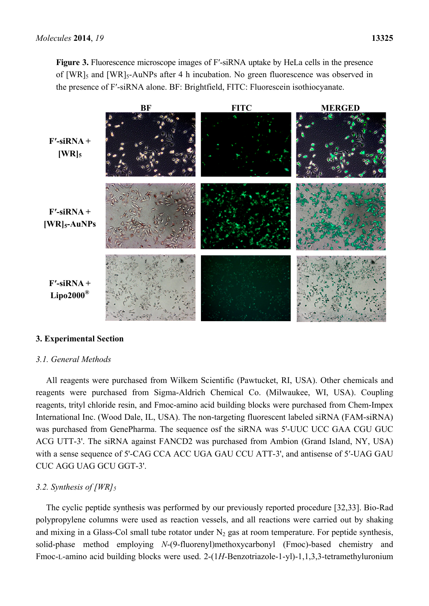**Figure 3.** Fluorescence microscope images of F′-siRNA uptake by HeLa cells in the presence of  $[WR]_5$  and  $[WR]_5$ -AuNPs after 4 h incubation. No green fluorescence was observed in the presence of F′-siRNA alone. BF: Brightfield, FITC: Fluorescein isothiocyanate.



# **3. Experimental Section**

# *3.1. General Methods*

All reagents were purchased from Wilkem Scientific (Pawtucket, RI, USA). Other chemicals and reagents were purchased from Sigma-Aldrich Chemical Co. (Milwaukee, WI, USA). Coupling reagents, trityl chloride resin, and Fmoc-amino acid building blocks were purchased from Chem-Impex International Inc. (Wood Dale, IL, USA). The non-targeting fluorescent labeled siRNA (FAM-siRNA) was purchased from GenePharma. The sequence osf the siRNA was 5'-UUC UCC GAA CGU GUC ACG UTT-3'. The siRNA against FANCD2 was purchased from Ambion (Grand Island, NY, USA) with a sense sequence of 5'-CAG CCA ACC UGA GAU CCU ATT-3', and antisense of 5′-UAG GAU CUC AGG UAG GCU GGT-3'.

# *3.2. Synthesis of [WR]<sub>5</sub>*

The cyclic peptide synthesis was performed by our previously reported procedure [32,33]. Bio-Rad polypropylene columns were used as reaction vessels, and all reactions were carried out by shaking and mixing in a Glass-Col small tube rotator under  $N_2$  gas at room temperature. For peptide synthesis, solid-phase method employing *N*-(9-fluorenyl)methoxycarbonyl (Fmoc)-based chemistry and Fmoc-L-amino acid building blocks were used. 2-(1*H-*Benzotriazole-1-yl)-1,1,3,3-tetramethyluronium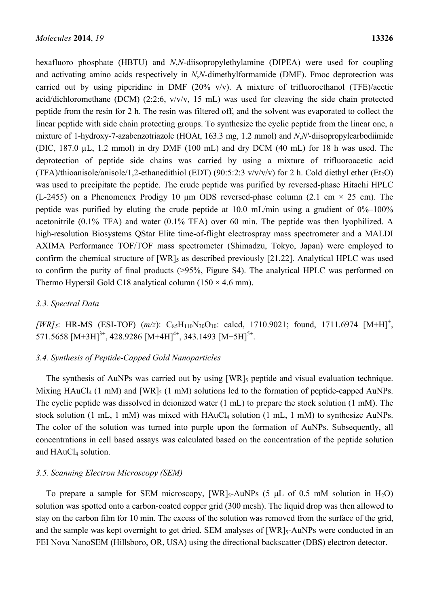hexafluoro phosphate (HBTU) and *N*,*N*-diisopropylethylamine (DIPEA) were used for coupling and activating amino acids respectively in *N*,*N*-dimethylformamide (DMF). Fmoc deprotection was carried out by using piperidine in DMF (20%  $v/v$ ). A mixture of trifluoroethanol (TFE)/acetic acid/dichloromethane (DCM) (2:2:6, v/v/v, 15 mL) was used for cleaving the side chain protected peptide from the resin for 2 h. The resin was filtered off, and the solvent was evaporated to collect the linear peptide with side chain protecting groups. To synthesize the cyclic peptide from the linear one, a mixture of 1-hydroxy-7-azabenzotriazole (HOAt, 163.3 mg, 1.2 mmol) and *N*,*N′*-diisopropylcarbodiimide (DIC, 187.0 µL, 1.2 mmol) in dry DMF (100 mL) and dry DCM (40 mL) for 18 h was used. The deprotection of peptide side chains was carried by using a mixture of trifluoroacetic acid (TFA)/thioanisole/anisole/1,2-ethanedithiol (EDT) (90:5:2:3  $v/v/v/v$ ) for 2 h. Cold diethyl ether (Et<sub>2</sub>O) was used to precipitate the peptide. The crude peptide was purified by reversed-phase Hitachi HPLC (L-2455) on a Phenomenex Prodigy 10  $\mu$ m ODS reversed-phase column (2.1 cm  $\times$  25 cm). The peptide was purified by eluting the crude peptide at  $10.0$  mL/min using a gradient of  $0\%$ – $100\%$ acetonitrile (0.1% TFA) and water (0.1% TFA) over 60 min. The peptide was then lyophilized. A high-resolution Biosystems QStar Elite time-of-flight electrospray mass spectrometer and a MALDI AXIMA Performance TOF/TOF mass spectrometer (Shimadzu, Tokyo, Japan) were employed to confirm the chemical structure of  $[WR]_5$  as described previously  $[21,22]$ . Analytical HPLC was used to confirm the purity of final products (>95%, Figure S4). The analytical HPLC was performed on Thermo Hypersil Gold C18 analytical column  $(150 \times 4.6 \text{ mm})$ .

# *3.3. Spectral Data*

[WR]<sub>5</sub>: HR-MS (ESI-TOF)  $(m/z)$ : C<sub>85</sub>H<sub>110</sub>N<sub>30</sub>O<sub>10</sub>: calcd, 1710.9021; found, 1711.6974 [M+H]<sup>+</sup>, 571.5658  $[M+3H]^{3+}$ , 428.9286  $[M+4H]^{4+}$ , 343.1493  $[M+5H]^{5+}$ .

# *3.4. Synthesis of Peptide-Capped Gold Nanoparticles*

The synthesis of AuNPs was carried out by using [WR]<sub>5</sub> peptide and visual evaluation technique. Mixing  $HAuCl_4$  (1 mM) and  $[WR]_5$  (1 mM) solutions led to the formation of peptide-capped AuNPs. The cyclic peptide was dissolved in deionized water (1 mL) to prepare the stock solution (1 mM). The stock solution  $(1 \text{ mL}, 1 \text{ mM})$  was mixed with  $HAuCl_4$  solution  $(1 \text{ mL}, 1 \text{ mM})$  to synthesize AuNPs. The color of the solution was turned into purple upon the formation of AuNPs. Subsequently, all concentrations in cell based assays was calculated based on the concentration of the peptide solution and  $HAuCl<sub>4</sub>$  solution.

## *3.5. Scanning Electron Microscopy (SEM)*

To prepare a sample for SEM microscopy,  $[WR]_5$ -AuNPs (5 µL of 0.5 mM solution in H<sub>2</sub>O) solution was spotted onto a carbon-coated copper grid (300 mesh). The liquid drop was then allowed to stay on the carbon film for 10 min. The excess of the solution was removed from the surface of the grid, and the sample was kept overnight to get dried. SEM analyses of [WR]<sub>5</sub>-AuNPs were conducted in an FEI Nova NanoSEM (Hillsboro, OR, USA) using the directional backscatter (DBS) electron detector.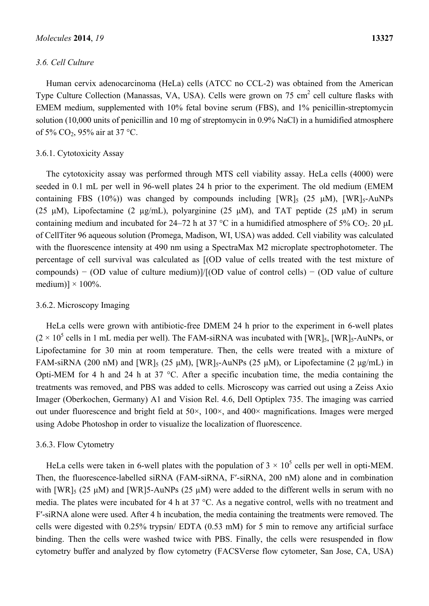## *3.6. Cell Culture*

Human cervix adenocarcinoma (HeLa) cells (ATCC no CCL-2) was obtained from the American Type Culture Collection (Manassas, VA, USA). Cells were grown on 75 cm<sup>2</sup> cell culture flasks with EMEM medium, supplemented with 10% fetal bovine serum (FBS), and 1% penicillin-streptomycin solution (10,000 units of penicillin and 10 mg of streptomycin in 0.9% NaCl) in a humidified atmosphere of 5% CO2, 95% air at 37 °C.

## 3.6.1. Cytotoxicity Assay

The cytotoxicity assay was performed through MTS cell viability assay. HeLa cells (4000) were seeded in 0.1 mL per well in 96-well plates 24 h prior to the experiment. The old medium (EMEM containing FBS (10%)) was changed by compounds including  $[WR]_5$  (25  $\mu$ M),  $[WR]_5$ -AuNPs (25 μM), Lipofectamine (2 µg/mL), polyarginine (25 μM), and TAT peptide (25 μM) in serum containing medium and incubated for 24–72 h at 37 °C in a humidified atmosphere of 5% CO<sub>2</sub>. 20  $\mu$ L of CellTiter 96 aqueous solution (Promega, Madison, WI, USA) was added. Cell viability was calculated with the fluorescence intensity at 490 nm using a SpectraMax M2 microplate spectrophotometer. The percentage of cell survival was calculated as [(OD value of cells treated with the test mixture of compounds) − (OD value of culture medium)]/[(OD value of control cells) − (OD value of culture medium)]  $\times$  100%.

## 3.6.2. Microscopy Imaging

HeLa cells were grown with antibiotic-free DMEM 24 h prior to the experiment in 6-well plates  $(2 \times 10^5 \text{ cells in 1 mL media per well})$ . The FAM-siRNA was incubated with [WR]<sub>5</sub>, [WR]<sub>5</sub>-AuNPs, or Lipofectamine for 30 min at room temperature. Then, the cells were treated with a mixture of FAM-siRNA (200 nM) and [WR]<sub>5</sub> (25  $\mu$ M), [WR]<sub>5</sub>-AuNPs (25  $\mu$ M), or Lipofectamine (2  $\mu$ g/mL) in Opti-MEM for 4 h and 24 h at 37 °C. After a specific incubation time, the media containing the treatments was removed, and PBS was added to cells. Microscopy was carried out using a Zeiss Axio Imager (Oberkochen, Germany) A1 and Vision Rel. 4.6, Dell Optiplex 735. The imaging was carried out under fluorescence and bright field at 50×, 100×, and 400× magnifications. Images were merged using Adobe Photoshop in order to visualize the localization of fluorescence.

# 3.6.3. Flow Cytometry

HeLa cells were taken in 6-well plates with the population of  $3 \times 10^5$  cells per well in opti-MEM. Then, the fluorescence-labelled siRNA (FAM-siRNA, F′-siRNA, 200 nM) alone and in combination with  $[WR]_5$  (25  $\mu$ M) and  $[WR]_5$ -AuNPs (25  $\mu$ M) were added to the different wells in serum with no media. The plates were incubated for 4 h at 37 °C. As a negative control, wells with no treatment and F′-siRNA alone were used. After 4 h incubation, the media containing the treatments were removed. The cells were digested with 0.25% trypsin/ EDTA (0.53 mM) for 5 min to remove any artificial surface binding. Then the cells were washed twice with PBS. Finally, the cells were resuspended in flow cytometry buffer and analyzed by flow cytometry (FACSVerse flow cytometer, San Jose, CA, USA)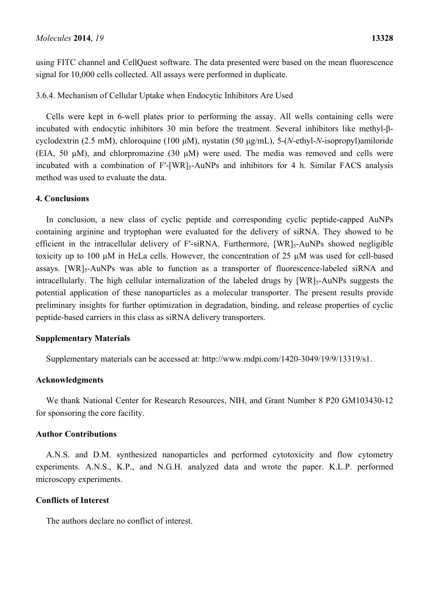using FITC channel and CellQuest software. The data presented were based on the mean fluorescence signal for 10,000 cells collected. All assays were performed in duplicate.

3.6.4. Mechanism of Cellular Uptake when Endocytic Inhibitors Are Used

Cells were kept in 6-well plates prior to performing the assay. All wells containing cells were incubated with endocytic inhibitors 30 min before the treatment. Several inhibitors like methyl-βcyclodextrin (2.5 mM), chloroquine (100 μM), nystatin (50 μg/mL), 5-(*N*-ethyl-*N*-isopropyl)amiloride (EIA, 50 μM), and chlorpromazine (30 μM) were used. The media was removed and cells were incubated with a combination of F'-[WR]<sub>5</sub>-AuNPs and inhibitors for 4 h. Similar FACS analysis method was used to evaluate the data.

## **4. Conclusions**

In conclusion, a new class of cyclic peptide and corresponding cyclic peptide-capped AuNPs containing arginine and tryptophan were evaluated for the delivery of siRNA. They showed to be efficient in the intracellular delivery of F'-siRNA. Furthermore, [WR]<sub>5</sub>-AuNPs showed negligible toxicity up to 100 μM in HeLa cells. However, the concentration of 25 µM was used for cell-based assays. [WR]<sub>5</sub>-AuNPs was able to function as a transporter of fluorescence-labeled siRNA and intracellularly. The high cellular internalization of the labeled drugs by [WR]<sub>5</sub>-AuNPs suggests the potential application of these nanoparticles as a molecular transporter. The present results provide preliminary insights for further optimization in degradation, binding, and release properties of cyclic peptide-based carriers in this class as siRNA delivery transporters.

## **Supplementary Materials**

Supplementary materials can be accessed at: http://www.mdpi.com/1420-3049/19/9/13319/s1.

## **Acknowledgments**

We thank National Center for Research Resources, NIH, and Grant Number 8 P20 GM103430-12 for sponsoring the core facility.

## **Author Contributions**

A.N.S. and D.M. synthesized nanoparticles and performed cytotoxicity and flow cytometry experiments. A.N.S., K.P., and N.G.H. analyzed data and wrote the paper. K.L.P. performed microscopy experiments.

# **Conflicts of Interest**

The authors declare no conflict of interest.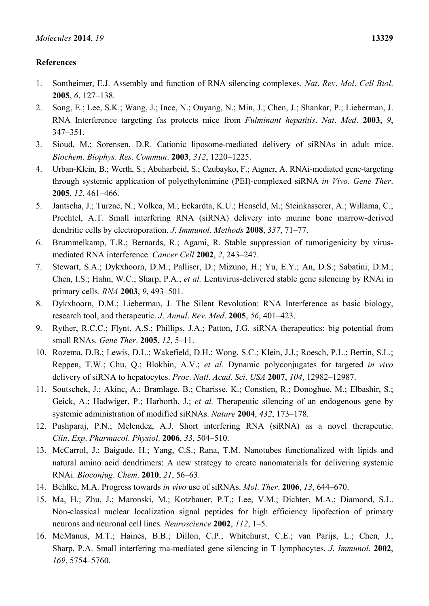# **References**

- 1. Sontheimer, E.J. Assembly and function of RNA silencing complexes. *Nat*. *Rev*. *Mol*. *Cell Biol*. **2005**, *6*, 127–138.
- 2. Song, E.; Lee, S.K.; Wang, J.; Ince, N.; Ouyang, N.; Min, J.; Chen, J.; Shankar, P.; Lieberman, J. RNA Interference targeting fas protects mice from *Fulminant hepatitis*. *Nat*. *Med*. **2003**, *9*, 347–351.
- 3. Sioud, M.; Sorensen, D.R. Cationic liposome-mediated delivery of siRNAs in adult mice. *Biochem*. *Biophys*. *Res*. *Commun*. **2003**, *312*, 1220–1225.
- 4. Urban-Klein, B.; Werth, S.; Abuharbeid, S.; Czubayko, F.; Aigner, A. RNAi-mediated gene-targeting through systemic application of polyethylenimine (PEI)-complexed siRNA *in Vivo*. *Gene Ther*. **2005**, *12*, 461–466.
- 5. Jantscha, J.; Turzac, N.; Volkea, M.; Eckardta, K.U.; Henseld, M.; Steinkasserer, A.; Willama, C.; Prechtel, A.T. Small interfering RNA (siRNA) delivery into murine bone marrow-derived dendritic cells by electroporation. *J*. *Immunol*. *Methods* **2008**, *337*, 71–77.
- 6. Brummelkamp, T.R.; Bernards, R.; Agami, R. Stable suppression of tumorigenicity by virusmediated RNA interference. *Cancer Cell* **2002**, *2*, 243–247.
- 7. Stewart, S.A.; Dykxhoorn, D.M.; Palliser, D.; Mizuno, H.; Yu, E.Y.; An, D.S.; Sabatini, D.M.; Chen, I.S.; Hahn, W.C.; Sharp, P.A.; *et al.* Lentivirus-delivered stable gene silencing by RNAi in primary cells. *RNA* **2003**, *9*, 493–501.
- 8. Dykxhoorn, D.M.; Lieberman, J. The Silent Revolution: RNA Interference as basic biology, research tool, and therapeutic. *J*. *Annul*. *Rev*. *Med*. **2005**, *56*, 401–423.
- 9. Ryther, R.C.C.; Flynt, A.S.; Phillips, J.A.; Patton, J.G. siRNA therapeutics: big potential from small RNAs. *Gene Ther*. **2005**, *12*, 5–11.
- 10. Rozema, D.B.; Lewis, D.L.; Wakefield, D.H.; Wong, S.C.; Klein, J.J.; Roesch, P.L.; Bertin, S.L.; Reppen, T.W.; Chu, Q.; Blokhin, A.V.; *et al.* Dynamic polyconjugates for targeted *in vivo*  delivery of siRNA to hepatocytes. *Proc*. *Natl*. *Acad*. *Sci*. *USA* **2007**, *104*, 12982–12987.
- 11. Soutschek, J.; Akinc, A.; Bramlage, B.; Charisse, K.; Constien, R.; Donoghue, M.; Elbashir, S.; Geick, A.; Hadwiger, P.; Harborth, J.; *et al.* Therapeutic silencing of an endogenous gene by systemic administration of modified siRNAs. *Nature* **2004**, *432*, 173–178.
- 12. Pushparaj, P.N.; Melendez, A.J. Short interfering RNA (siRNA) as a novel therapeutic. *Clin*. *Exp*. *Pharmacol*. *Physiol*. **2006**, *33*, 504–510.
- 13. McCarrol, J.; Baigude, H.; Yang, C.S.; Rana, T.M. Nanotubes functionalized with lipids and natural amino acid dendrimers: A new strategy to create nanomaterials for delivering systemic RNAi. *Bioconjug*. *Chem*. **2010**, *21*, 56–63.
- 14. Behlke, M.A. Progress towards *in vivo* use of siRNAs. *Mol*. *Ther*. **2006**, *13*, 644–670.
- 15. Ma, H.; Zhu, J.; Maronski, M.; Kotzbauer, P.T.; Lee, V.M.; Dichter, M.A.; Diamond, S.L. Non-classical nuclear localization signal peptides for high efficiency lipofection of primary neurons and neuronal cell lines. *Neuroscience* **2002**, *112*, 1–5.
- 16. McManus, M.T.; Haines, B.B.; Dillon, C.P.; Whitehurst, C.E.; van Parijs, L.; Chen, J.; Sharp, P.A. Small interfering rna-mediated gene silencing in T lymphocytes. *J*. *Immunol*. **2002**, *169*, 5754–5760.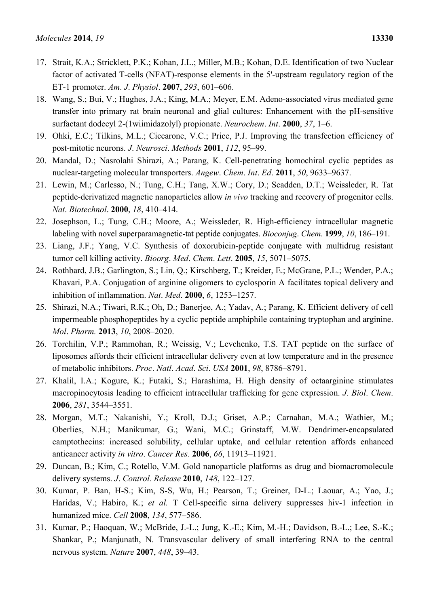- 17. Strait, K.A.; Stricklett, P.K.; Kohan, J.L.; Miller, M.B.; Kohan, D.E. Identification of two Nuclear factor of activated T-cells (NFAT)-response elements in the 5'-upstream regulatory region of the ET-1 promoter. *Am*. *J*. *Physiol*. **2007**, *293*, 601–606.
- 18. Wang, S.; Bui, V.; Hughes, J.A.; King, M.A.; Meyer, E.M. Adeno-associated virus mediated gene transfer into primary rat brain neuronal and glial cultures: Enhancement with the pH-sensitive surfactant dodecyl 2-(1wiimidazolyl) propionate. *Neurochem*. *Int*. **2000**, *37*, 1–6.
- 19. Ohki, E.C.; Tilkins, M.L.; Ciccarone, V.C.; Price, P.J. Improving the transfection efficiency of post-mitotic neurons. *J*. *Neurosci*. *Methods* **2001**, *112*, 95–99.
- 20. Mandal, D.; Nasrolahi Shirazi, A.; Parang, K. Cell-penetrating homochiral cyclic peptides as nuclear-targeting molecular transporters. *Angew*. *Chem*. *Int*. *Ed*. **2011**, *50*, 9633–9637.
- 21. Lewin, M.; Carlesso, N.; Tung, C.H.; Tang, X.W.; Cory, D.; Scadden, D.T.; Weissleder, R. Tat peptide-derivatized magnetic nanoparticles allow *in vivo* tracking and recovery of progenitor cells. *Nat*. *Biotechnol*. **2000**, *18*, 410–414.
- 22. Josephson, L.; Tung, C.H.; Moore, A.; Weissleder, R. High-efficiency intracellular magnetic labeling with novel superparamagnetic-tat peptide conjugates. *Bioconjug*. *Chem*. **1999**, *10*, 186–191.
- 23. Liang, J.F.; Yang, V.C. Synthesis of doxorubicin-peptide conjugate with multidrug resistant tumor cell killing activity. *Bioorg*. *Med*. *Chem*. *Lett*. **2005**, *15*, 5071–5075.
- 24. Rothbard, J.B.; Garlington, S.; Lin, Q.; Kirschberg, T.; Kreider, E.; McGrane, P.L.; Wender, P.A.; Khavari, P.A. Conjugation of arginine oligomers to cyclosporin A facilitates topical delivery and inhibition of inflammation. *Nat*. *Med*. **2000**, *6*, 1253–1257.
- 25. Shirazi, N.A.; Tiwari, R.K.; Oh, D.; Banerjee, A.; Yadav, A.; Parang, K. Efficient delivery of cell impermeable phosphopeptides by a cyclic peptide amphiphile containing tryptophan and arginine. *Mol*. *Pharm.* **2013**, *10*, 2008–2020.
- 26. Torchilin, V.P.; Rammohan, R.; Weissig, V.; Levchenko, T.S. TAT peptide on the surface of liposomes affords their efficient intracellular delivery even at low temperature and in the presence of metabolic inhibitors. *Proc*. *Natl*. *Acad*. *Sci*. *USA* **2001**, *98*, 8786–8791.
- 27. Khalil, I.A.; Kogure, K.; Futaki, S.; Harashima, H. High density of octaarginine stimulates macropinocytosis leading to efficient intracellular trafficking for gene expression. *J*. *Biol*. *Chem*. **2006**, *281*, 3544–3551.
- 28. Morgan, M.T.; Nakanishi, Y.; Kroll, D.J.; Griset, A.P.; Carnahan, M.A.; Wathier, M.; Oberlies, N.H.; Manikumar, G.; Wani, M.C.; Grinstaff, M.W. Dendrimer-encapsulated camptothecins: increased solubility, cellular uptake, and cellular retention affords enhanced anticancer activity *in vitro*. *Cancer Res*. **2006**, *66*, 11913–11921.
- 29. Duncan, B.; Kim, C.; Rotello, V.M. Gold nanoparticle platforms as drug and biomacromolecule delivery systems. *J*. *Control. Release* **2010**, *148*, 122–127.
- 30. Kumar, P. Ban, H-S.; Kim, S-S, Wu, H.; Pearson, T.; Greiner, D-L.; Laouar, A.; Yao, J.; Haridas, V.; Habiro, K.; *et al.* T Cell-specific sirna delivery suppresses hiv-1 infection in humanized mice. *Cell* **2008**, *134*, 577–586.
- 31. Kumar, P.; Haoquan, W.; McBride, J.-L.; Jung, K.-E.; Kim, M.-H.; Davidson, B.-L.; Lee, S.-K.; Shankar, P.; Manjunath, N. Transvascular delivery of small interfering RNA to the central nervous system. *Nature* **2007**, *448*, 39–43.